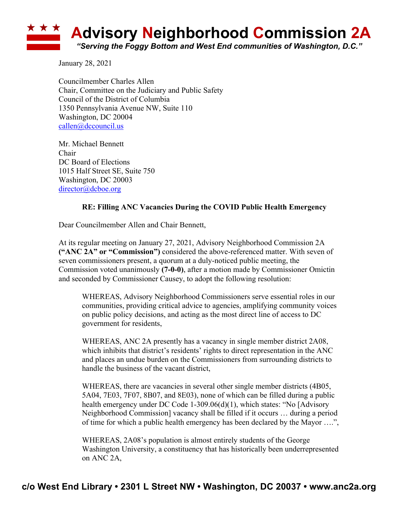## **Advisory Neighborhood Commission 2A** *"Serving the Foggy Bottom and West End communities of Washington, D.C."*

January 28, 2021

Councilmember Charles Allen Chair, Committee on the Judiciary and Public Safety Council of the District of Columbia 1350 Pennsylvania Avenue NW, Suite 110 Washington, DC 20004 callen@dccouncil.us

Mr. Michael Bennett Chair DC Board of Elections 1015 Half Street SE, Suite 750 Washington, DC 20003 director@dcboe.org

## **RE: Filling ANC Vacancies During the COVID Public Health Emergency**

Dear Councilmember Allen and Chair Bennett,

At its regular meeting on January 27, 2021, Advisory Neighborhood Commission 2A **("ANC 2A" or "Commission")** considered the above-referenced matter. With seven of seven commissioners present, a quorum at a duly-noticed public meeting, the Commission voted unanimously **(7-0-0)**, after a motion made by Commissioner Omictin and seconded by Commissioner Causey, to adopt the following resolution:

WHEREAS, Advisory Neighborhood Commissioners serve essential roles in our communities, providing critical advice to agencies, amplifying community voices on public policy decisions, and acting as the most direct line of access to DC government for residents,

WHEREAS, ANC 2A presently has a vacancy in single member district 2A08, which inhibits that district's residents' rights to direct representation in the ANC and places an undue burden on the Commissioners from surrounding districts to handle the business of the vacant district,

WHEREAS, there are vacancies in several other single member districts (4B05, 5A04, 7E03, 7F07, 8B07, and 8E03), none of which can be filled during a public health emergency under DC Code 1-309.06(d)(1), which states: "No [Advisory Neighborhood Commission] vacancy shall be filled if it occurs … during a period of time for which a public health emergency has been declared by the Mayor ….",

WHEREAS, 2A08's population is almost entirely students of the George Washington University, a constituency that has historically been underrepresented on ANC 2A,